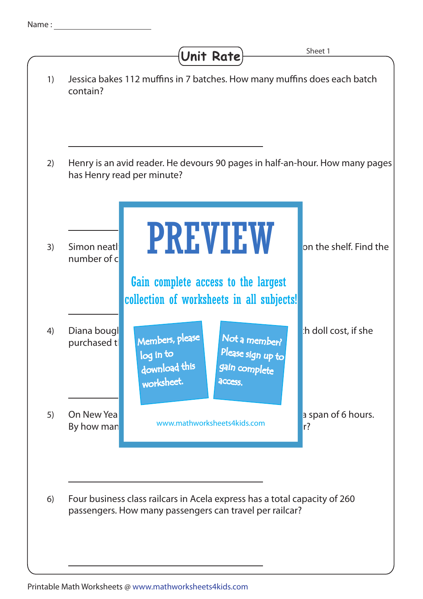